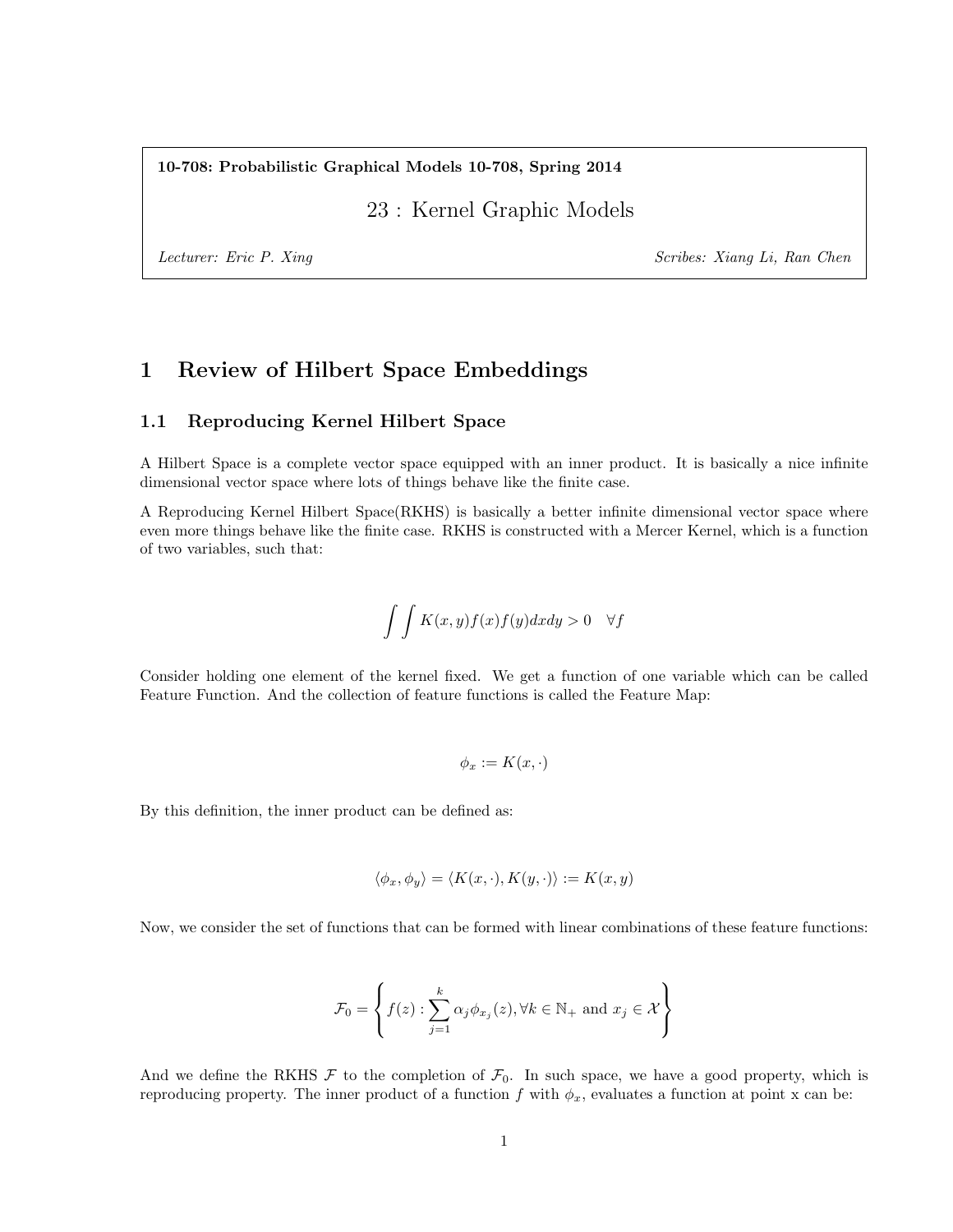10-708: Probabilistic Graphical Models 10-708, Spring 2014

23 : Kernel Graphic Models

Lecturer: Eric P. Xing Scribes: Xiang Li, Ran Chen

# 1 Review of Hilbert Space Embeddings

## 1.1 Reproducing Kernel Hilbert Space

A Hilbert Space is a complete vector space equipped with an inner product. It is basically a nice infinite dimensional vector space where lots of things behave like the finite case.

A Reproducing Kernel Hilbert Space(RKHS) is basically a better infinite dimensional vector space where even more things behave like the finite case. RKHS is constructed with a Mercer Kernel, which is a function of two variables, such that:

$$
\int \int K(x,y)f(x)f(y)dxdy > 0 \quad \forall f
$$

Consider holding one element of the kernel fixed. We get a function of one variable which can be called Feature Function. And the collection of feature functions is called the Feature Map:

$$
\phi_x := K(x, \cdot)
$$

By this definition, the inner product can be defined as:

$$
\langle \phi_x, \phi_y \rangle = \langle K(x, \cdot), K(y, \cdot) \rangle := K(x, y)
$$

Now, we consider the set of functions that can be formed with linear combinations of these feature functions:

$$
\mathcal{F}_0 = \left\{ f(z) : \sum_{j=1}^k \alpha_j \phi_{x_j}(z), \forall k \in \mathbb{N}_+ \text{ and } x_j \in \mathcal{X} \right\}
$$

And we define the RKHS  $\mathcal F$  to the completion of  $\mathcal F_0$ . In such space, we have a good property, which is reproducing property. The inner product of a function f with  $\phi_x$ , evaluates a function at point x can be: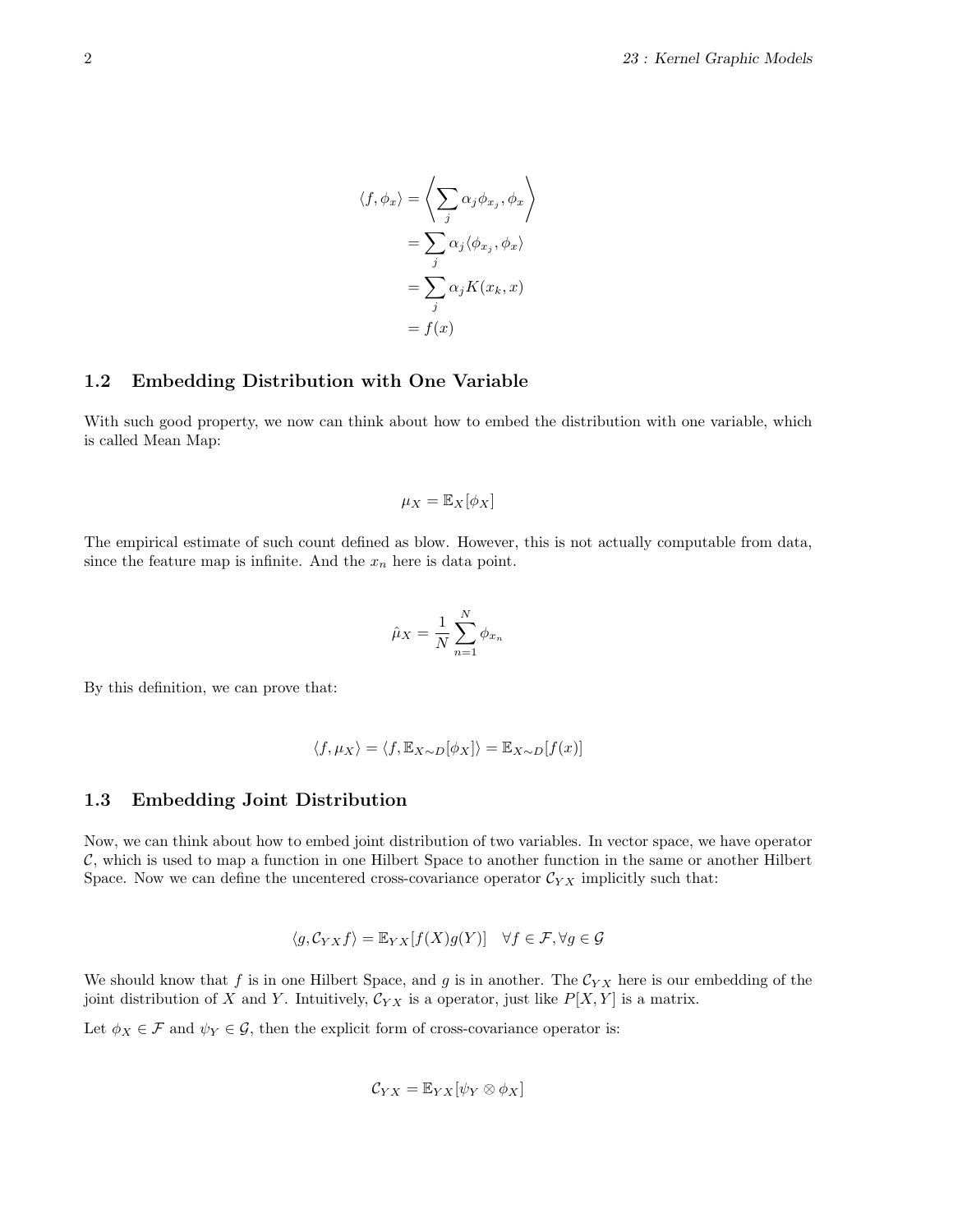$$
\langle f, \phi_x \rangle = \left\langle \sum_j \alpha_j \phi_{x_j}, \phi_x \right\rangle
$$

$$
= \sum_j \alpha_j \langle \phi_{x_j}, \phi_x \rangle
$$

$$
= \sum_j \alpha_j K(x_k, x)
$$

$$
= f(x)
$$

#### 1.2 Embedding Distribution with One Variable

With such good property, we now can think about how to embed the distribution with one variable, which is called Mean Map:

$$
\mu_X = \mathbb{E}_X[\phi_X]
$$

The empirical estimate of such count defined as blow. However, this is not actually computable from data, since the feature map is infinite. And the  $x_n$  here is data point.

$$
\hat{\mu}_X = \frac{1}{N} \sum_{n=1}^N \phi_{x_n}
$$

By this definition, we can prove that:

$$
\langle f, \mu_X \rangle = \langle f, \mathbb{E}_{X \sim D}[\phi_X] \rangle = \mathbb{E}_{X \sim D}[f(x)]
$$

#### 1.3 Embedding Joint Distribution

Now, we can think about how to embed joint distribution of two variables. In vector space, we have operator C, which is used to map a function in one Hilbert Space to another function in the same or another Hilbert Space. Now we can define the uncentered cross-covariance operator  $\mathcal{C}_{YX}$  implicitly such that:

$$
\langle g, \mathcal{C}_{YX} f \rangle = \mathbb{E}_{YX}[f(X)g(Y)] \quad \forall f \in \mathcal{F}, \forall g \in \mathcal{G}
$$

We should know that f is in one Hilbert Space, and g is in another. The  $\mathcal{C}_{YX}$  here is our embedding of the joint distribution of X and Y. Intuitively,  $\mathcal{C}_{YX}$  is a operator, just like  $P[X, Y]$  is a matrix.

Let  $\phi_X \in \mathcal{F}$  and  $\psi_Y \in \mathcal{G}$ , then the explicit form of cross-covariance operator is:

$$
\mathcal{C}_{YX} = \mathbb{E}_{YX}[\psi_Y \otimes \phi_X]
$$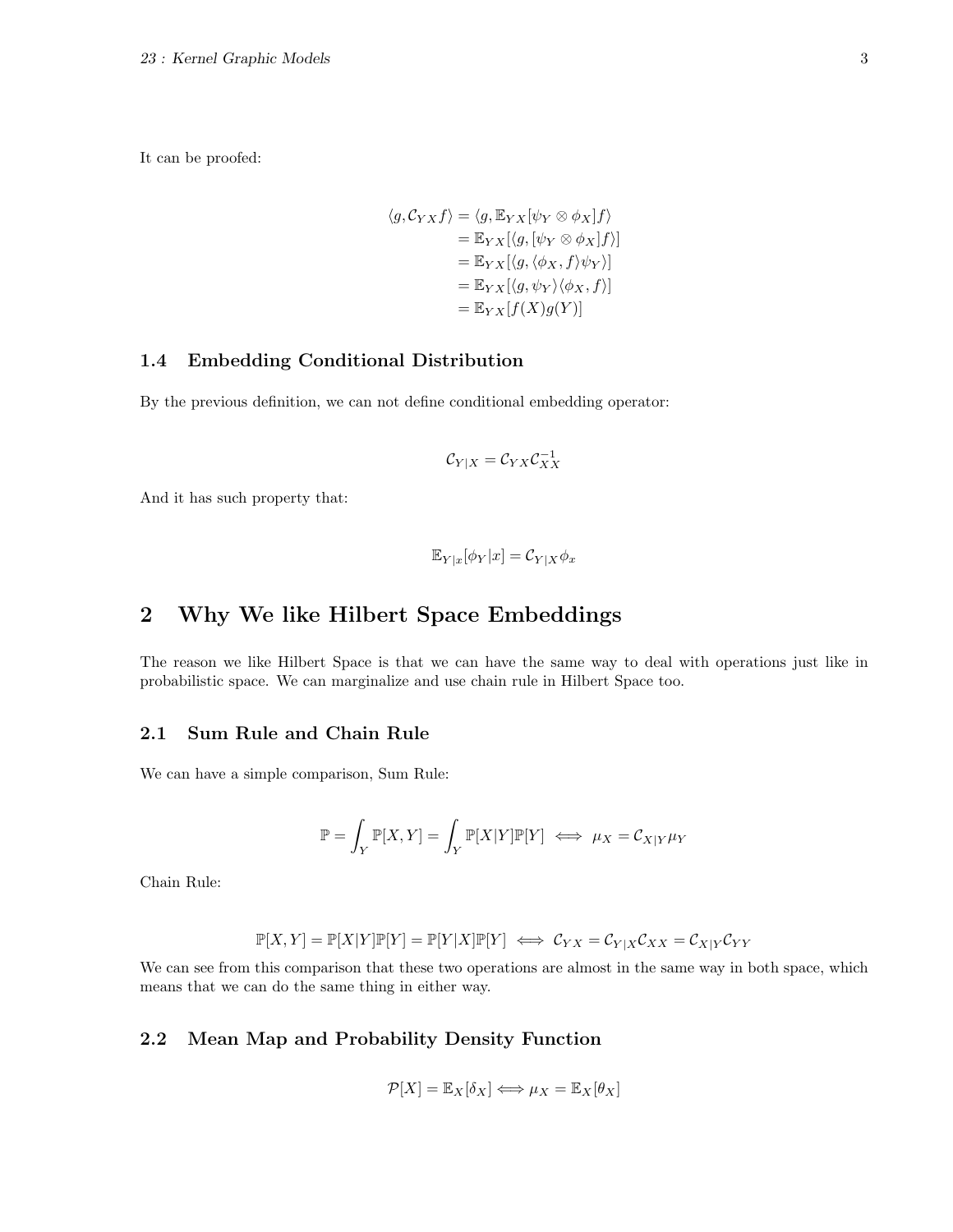It can be proofed:

$$
\langle g, C_{YX} f \rangle = \langle g, \mathbb{E}_{YX} [\psi_Y \otimes \phi_X] f \rangle
$$
  
=  $\mathbb{E}_{YX} [\langle g, [\psi_Y \otimes \phi_X] f \rangle]$   
=  $\mathbb{E}_{YX} [\langle g, \langle \phi_X, f \rangle \psi_Y \rangle]$   
=  $\mathbb{E}_{YX} [\langle g, \psi_Y \rangle \langle \phi_X, f \rangle]$   
=  $\mathbb{E}_{YX} [f(X)g(Y)]$ 

# 1.4 Embedding Conditional Distribution

By the previous definition, we can not define conditional embedding operator:

$$
\mathcal{C}_{Y|X} = \mathcal{C}_{YX}\mathcal{C}_{XX}^{-1}
$$

And it has such property that:

$$
\mathbb{E}_{Y|x}[\phi_Y|x] = \mathcal{C}_{Y|X}\phi_x
$$

# 2 Why We like Hilbert Space Embeddings

The reason we like Hilbert Space is that we can have the same way to deal with operations just like in probabilistic space. We can marginalize and use chain rule in Hilbert Space too.

## 2.1 Sum Rule and Chain Rule

We can have a simple comparison, Sum Rule:

$$
\mathbb{P} = \int_Y \mathbb{P}[X, Y] = \int_Y \mathbb{P}[X|Y]\mathbb{P}[Y] \iff \mu_X = \mathcal{C}_{X|Y}\mu_Y
$$

Chain Rule:

$$
\mathbb{P}[X,Y] = \mathbb{P}[X|Y]\mathbb{P}[Y] = \mathbb{P}[Y|X]\mathbb{P}[Y] \iff \mathcal{C}_{YX} = \mathcal{C}_{Y|X}\mathcal{C}_{XX} = \mathcal{C}_{X|Y}\mathcal{C}_{YY}
$$

We can see from this comparison that these two operations are almost in the same way in both space, which means that we can do the same thing in either way.

# 2.2 Mean Map and Probability Density Function

$$
\mathcal{P}[X] = \mathbb{E}_X[\delta_X] \Longleftrightarrow \mu_X = \mathbb{E}_X[\theta_X]
$$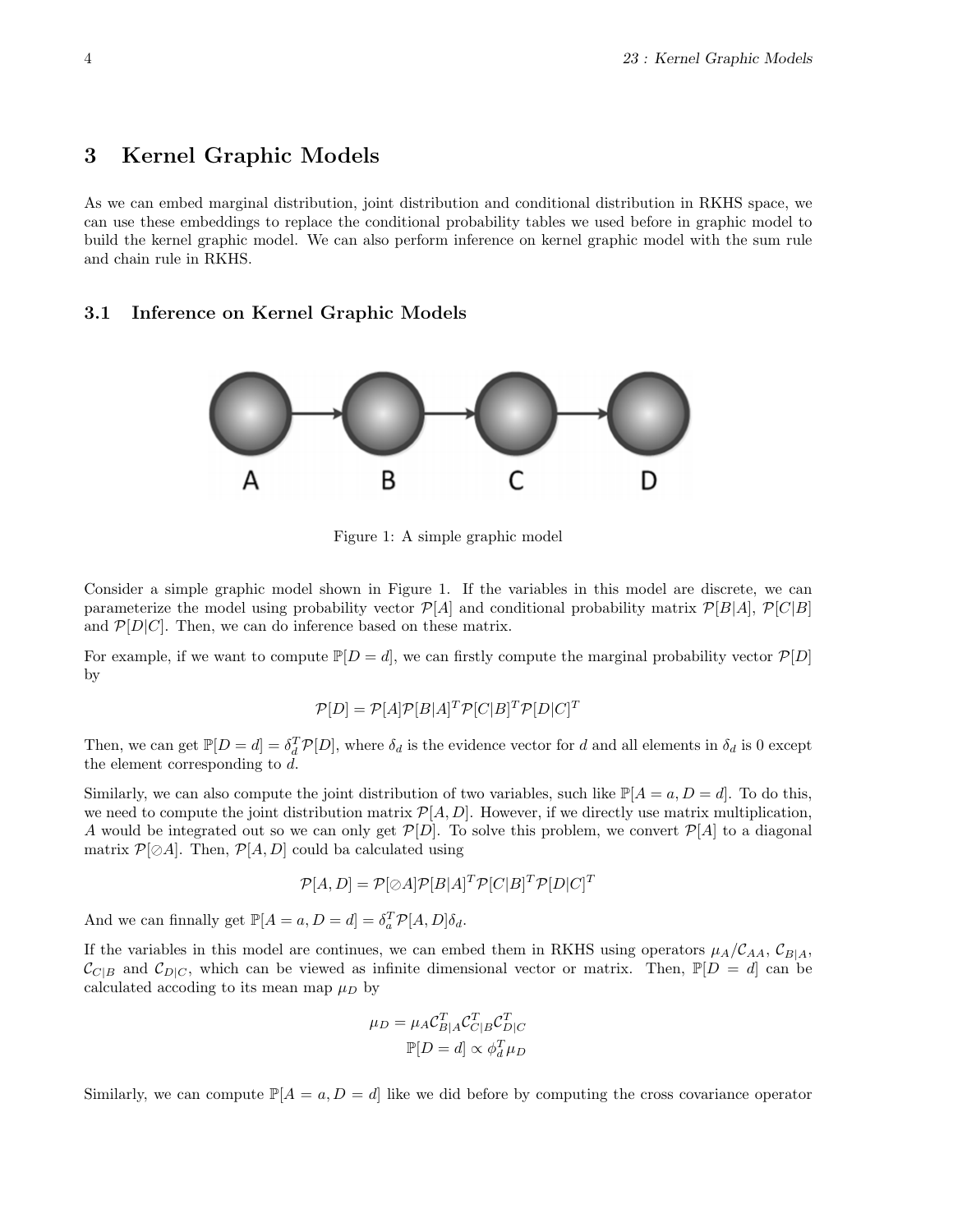# 3 Kernel Graphic Models

As we can embed marginal distribution, joint distribution and conditional distribution in RKHS space, we can use these embeddings to replace the conditional probability tables we used before in graphic model to build the kernel graphic model. We can also perform inference on kernel graphic model with the sum rule and chain rule in RKHS.

### 3.1 Inference on Kernel Graphic Models



Figure 1: A simple graphic model

Consider a simple graphic model shown in Figure 1. If the variables in this model are discrete, we can parameterize the model using probability vector  $\mathcal{P}[A]$  and conditional probability matrix  $\mathcal{P}[B|A]$ ,  $\mathcal{P}[C|B]$ and  $\mathcal{P}[D|C]$ . Then, we can do inference based on these matrix.

For example, if we want to compute  $\mathbb{P}[D = d]$ , we can firstly compute the marginal probability vector  $\mathcal{P}[D]$ by

$$
\mathcal{P}[D] = \mathcal{P}[A]\mathcal{P}[B|A]^T \mathcal{P}[C|B]^T \mathcal{P}[D|C]^T
$$

Then, we can get  $\mathbb{P}[D=d] = \delta_d^T \mathcal{P}[D]$ , where  $\delta_d$  is the evidence vector for d and all elements in  $\delta_d$  is 0 except the element corresponding to d.

Similarly, we can also compute the joint distribution of two variables, such like  $\mathbb{P}[A = a, D = d]$ . To do this, we need to compute the joint distribution matrix  $\mathcal{P}[A, D]$ . However, if we directly use matrix multiplication, A would be integrated out so we can only get  $\mathcal{P}[D]$ . To solve this problem, we convert  $\mathcal{P}[A]$  to a diagonal matrix  $\mathcal{P}[\oslash A]$ . Then,  $\mathcal{P}[A, D]$  could ba calculated using

$$
\mathcal{P}[A, D] = \mathcal{P}[\oslash A] \mathcal{P}[B|A]^T \mathcal{P}[C|B]^T \mathcal{P}[D|C]^T
$$

And we can finnally get  $\mathbb{P}[A = a, D = d] = \delta_a^T \mathcal{P}[A, D] \delta_d$ .

If the variables in this model are continues, we can embed them in RKHS using operators  $\mu_A/C_{AA}$ ,  $C_{BA}$ ,  $\mathcal{C}_{C|B}$  and  $\mathcal{C}_{D|C}$ , which can be viewed as infinite dimensional vector or matrix. Then,  $\mathbb{P}[D = d]$  can be calculated accoding to its mean map  $\mu_D$  by

$$
\mu_D = \mu_A C_{B|A}^T C_{C|B}^T C_{D|C}^T
$$

$$
\mathbb{P}[D = d] \propto \phi_d^T \mu_D
$$

Similarly, we can compute  $\mathbb{P}[A = a, D = d]$  like we did before by computing the cross covariance operator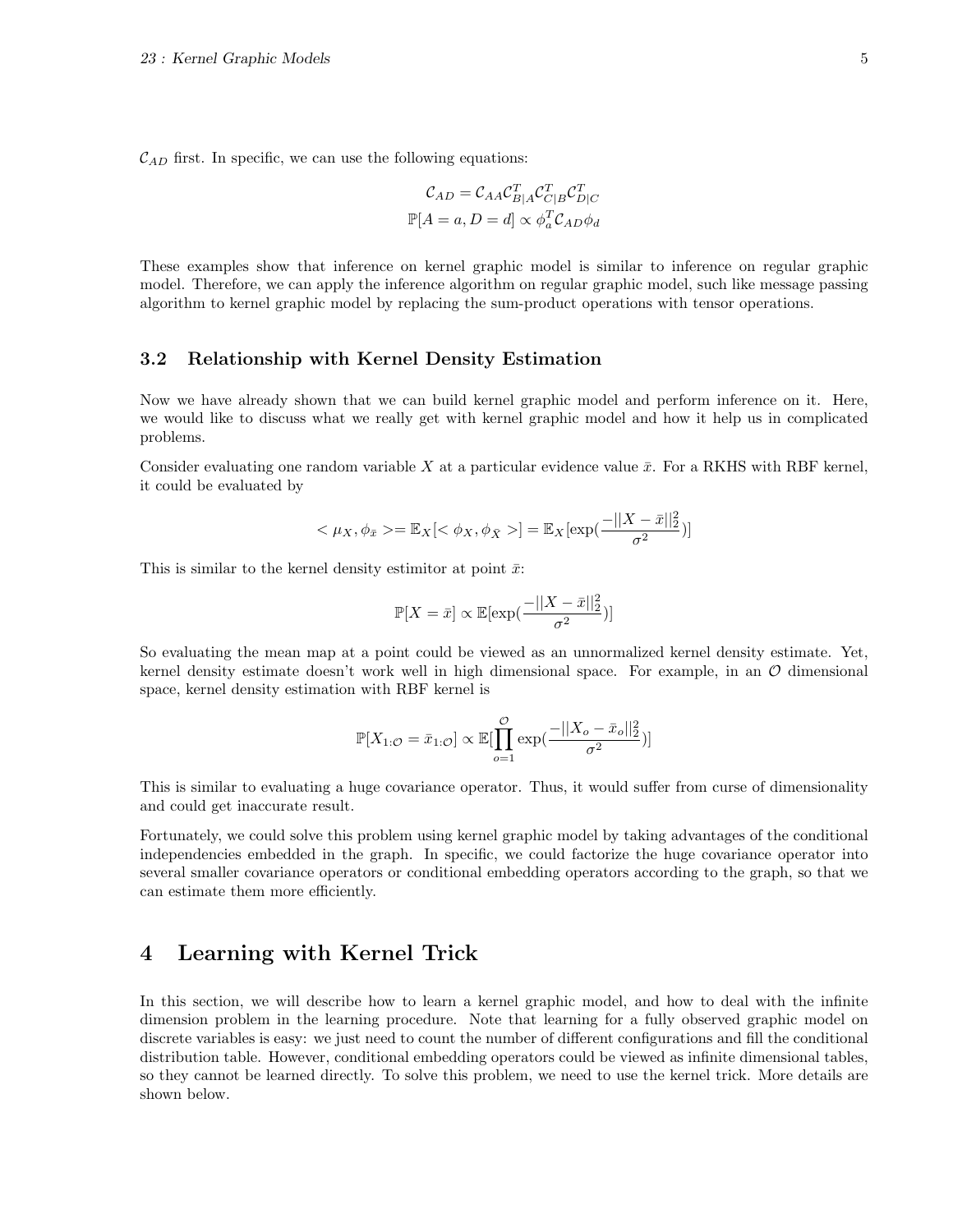$\mathcal{C}_{AD}$  first. In specific, we can use the following equations:

$$
\mathcal{C}_{AD} = \mathcal{C}_{AA} \mathcal{C}_{B|A}^T \mathcal{C}_{C|B}^T \mathcal{C}_{D|C}^T
$$

$$
\mathbb{P}[A = a, D = d] \propto \phi_a^T \mathcal{C}_{AD} \phi_d
$$

These examples show that inference on kernel graphic model is similar to inference on regular graphic model. Therefore, we can apply the inference algorithm on regular graphic model, such like message passing algorithm to kernel graphic model by replacing the sum-product operations with tensor operations.

### 3.2 Relationship with Kernel Density Estimation

Now we have already shown that we can build kernel graphic model and perform inference on it. Here, we would like to discuss what we really get with kernel graphic model and how it help us in complicated problems.

Consider evaluating one random variable X at a particular evidence value  $\bar{x}$ . For a RKHS with RBF kernel, it could be evaluated by

$$
\langle \mu_X, \phi_{\bar{x}} \rangle = \mathbb{E}_X[\langle \phi_X, \phi_{\bar{X}} \rangle] = \mathbb{E}_X[\exp(\frac{-||X - \bar{x}||_2^2}{\sigma^2})]
$$

This is similar to the kernel density estimitor at point  $\bar{x}$ :

$$
\mathbb{P}[X=\bar{x}]\propto \mathbb{E}[\exp(\frac{-||X-\bar{x}||_2^2}{\sigma^2})]
$$

So evaluating the mean map at a point could be viewed as an unnormalized kernel density estimate. Yet, kernel density estimate doesn't work well in high dimensional space. For example, in an  $\mathcal O$  dimensional space, kernel density estimation with RBF kernel is

$$
\mathbb{P}[X_{1:\mathcal{O}} = \bar{x}_{1:\mathcal{O}}] \propto \mathbb{E}[\prod_{o=1}^{\mathcal{O}} \exp(\frac{-||X_o - \bar{x}_o||_2^2}{\sigma^2})]
$$

This is similar to evaluating a huge covariance operator. Thus, it would suffer from curse of dimensionality and could get inaccurate result.

Fortunately, we could solve this problem using kernel graphic model by taking advantages of the conditional independencies embedded in the graph. In specific, we could factorize the huge covariance operator into several smaller covariance operators or conditional embedding operators according to the graph, so that we can estimate them more efficiently.

# 4 Learning with Kernel Trick

In this section, we will describe how to learn a kernel graphic model, and how to deal with the infinite dimension problem in the learning procedure. Note that learning for a fully observed graphic model on discrete variables is easy: we just need to count the number of different configurations and fill the conditional distribution table. However, conditional embedding operators could be viewed as infinite dimensional tables, so they cannot be learned directly. To solve this problem, we need to use the kernel trick. More details are shown below.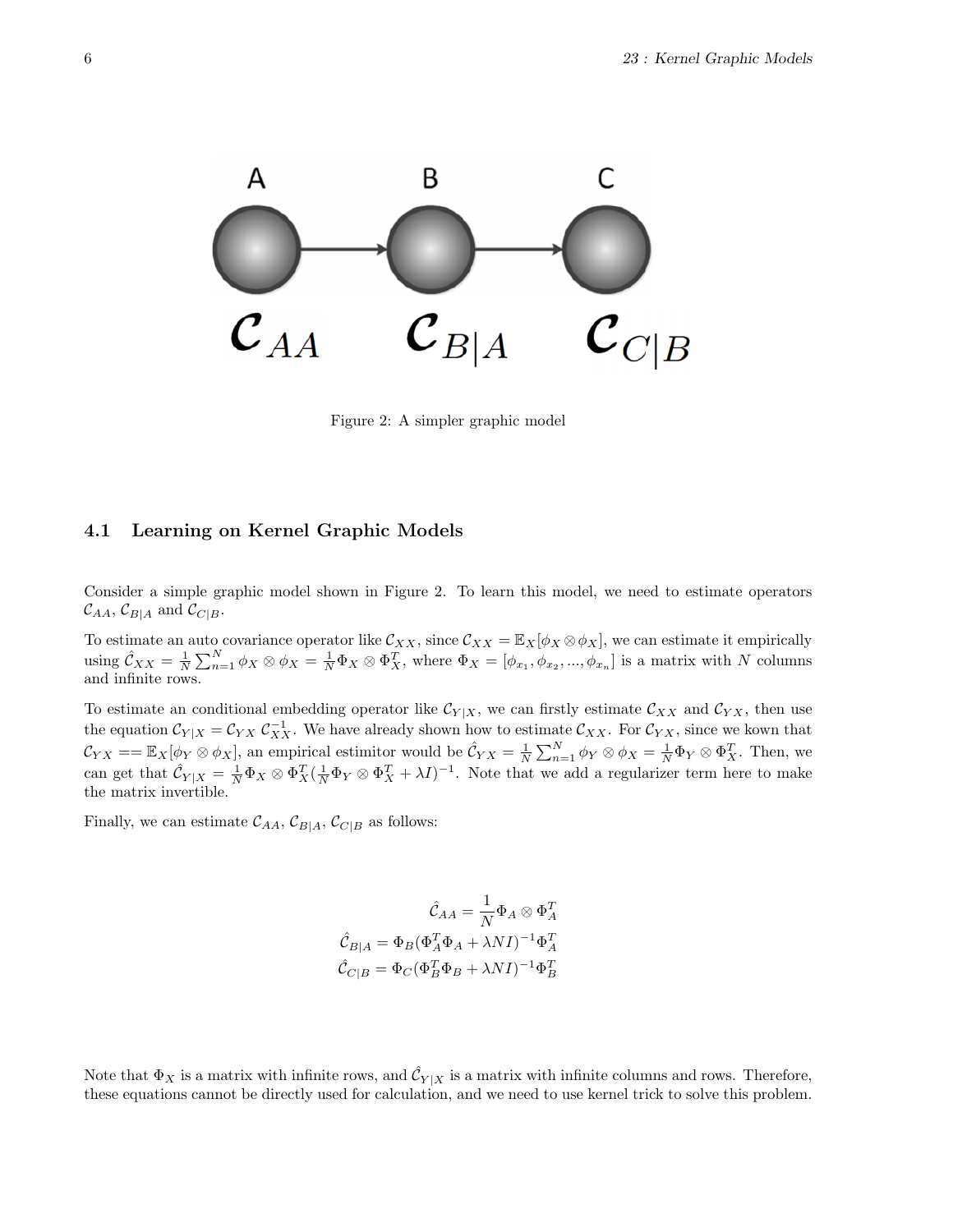

Figure 2: A simpler graphic model

## 4.1 Learning on Kernel Graphic Models

Consider a simple graphic model shown in Figure 2. To learn this model, we need to estimate operators  $\mathcal{C}_{AA}, \mathcal{C}_{B|A}$  and  $\mathcal{C}_{C|B}$ .

To estimate an auto covariance operator like  $\mathcal{C}_{XX}$ , since  $\mathcal{C}_{XX} = \mathbb{E}_X[\phi_X \otimes \phi_X]$ , we can estimate it empirically using  $\hat{\mathcal{C}}_{XX} = \frac{1}{N} \sum_{n=1}^N \phi_X \otimes \phi_X = \frac{1}{N} \Phi_X \otimes \Phi_X^T$ , where  $\Phi_X = [\phi_{x_1}, \phi_{x_2}, ..., \phi_{x_n}]$  is a matrix with N columns and infinite rows.

To estimate an conditional embedding operator like  $\mathcal{C}_{Y|X}$ , we can firstly estimate  $\mathcal{C}_{XX}$  and  $\mathcal{C}_{YX}$ , then use the equation  $\mathcal{C}_{Y|X} = \mathcal{C}_{YX} \mathcal{C}_{XX}^{-1}$ . We have already shown how to estimate  $\mathcal{C}_{XX}$ . For  $\mathcal{C}_{YX}$ , since we kown that  $\mathcal{C}_{YX} = \mathbb{E}_X[\phi_Y \otimes \phi_X]$ , an empirical estimitor would be  $\hat{\mathcal{C}}_{YX} = \frac{1}{N} \sum_{n=1}^N \phi_Y \otimes \phi_X = \frac{1}{N} \Phi_Y \otimes \Phi_X^T$ . Then, we can get that  $\hat{\mathcal{C}}_{Y|X} = \frac{1}{N} \Phi_X \otimes \Phi_X^T (\frac{1}{N} \Phi_Y \otimes \Phi_X^T + \lambda I)^{-1}$ . Note that we add a regularizer term here to make the matrix invertible.

Finally, we can estimate  $\mathcal{C}_{AA}$ ,  $\mathcal{C}_{B|A}$ ,  $\mathcal{C}_{C|B}$  as follows:

$$
\hat{\mathcal{C}}_{AA} = \frac{1}{N} \Phi_A \otimes \Phi_A^T
$$

$$
\hat{\mathcal{C}}_{B|A} = \Phi_B (\Phi_A^T \Phi_A + \lambda NI)^{-1} \Phi_A^T
$$

$$
\hat{\mathcal{C}}_{C|B} = \Phi_C (\Phi_B^T \Phi_B + \lambda NI)^{-1} \Phi_B^T
$$

Note that  $\Phi_X$  is a matrix with infinite rows, and  $\hat{C}_{Y|X}$  is a matrix with infinite columns and rows. Therefore, these equations cannot be directly used for calculation, and we need to use kernel trick to solve this problem.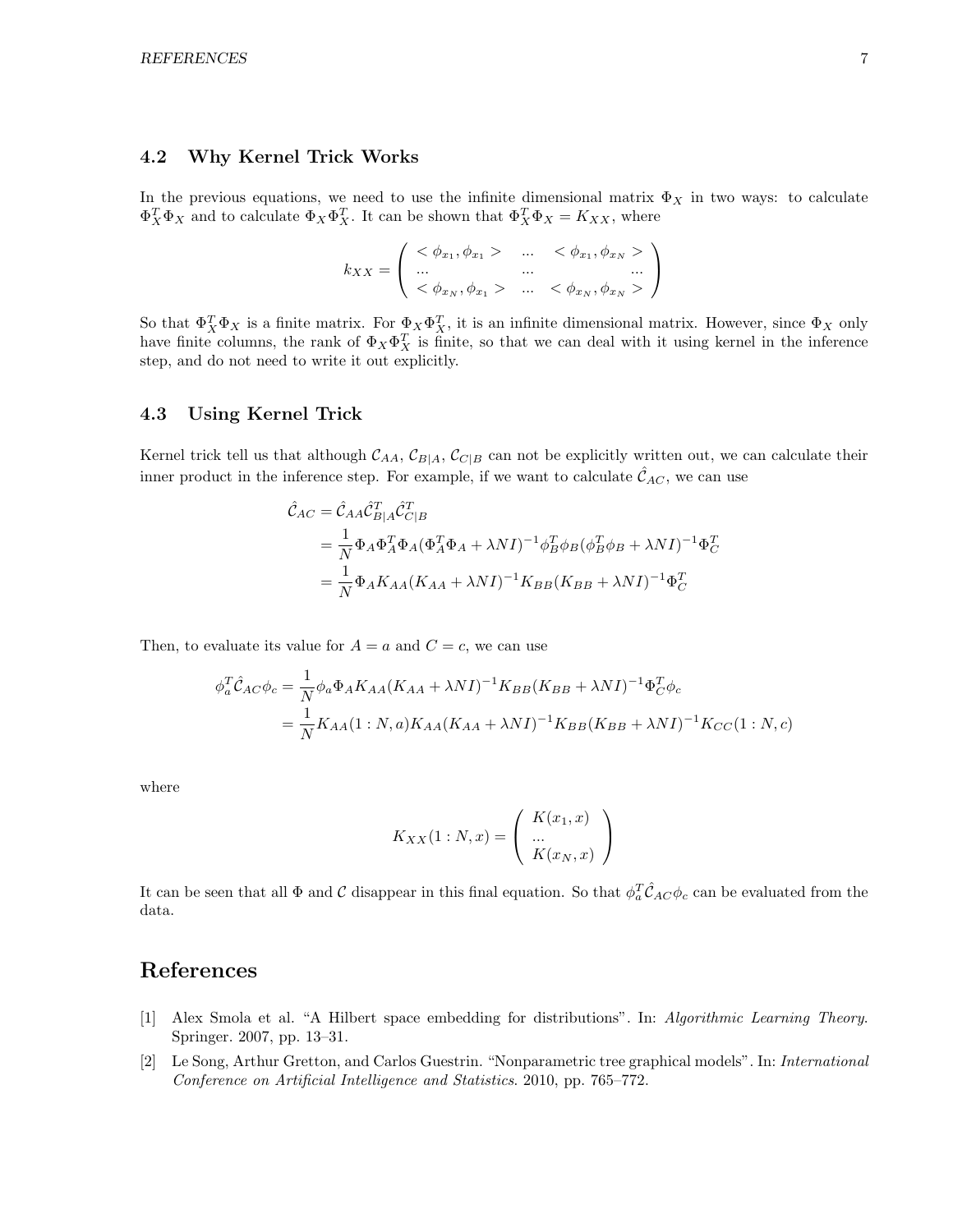## 4.2 Why Kernel Trick Works

In the previous equations, we need to use the infinite dimensional matrix  $\Phi_X$  in two ways: to calculate  $\Phi_X^T \Phi_X$  and to calculate  $\Phi_X \Phi_X^T$ . It can be shown that  $\Phi_X^T \Phi_X = K_{XX}$ , where

$$
k_{XX} = \left( \begin{array}{ccc} < \phi_{x_1}, \phi_{x_1} > & \dots < \phi_{x_1}, \phi_{x_N} > \\ \dots & & \dots & & \dots \\ < \phi_{x_N}, \phi_{x_1} > & \dots < \phi_{x_N}, \phi_{x_N} > \end{array} \right)
$$

So that  $\Phi_X^T \Phi_X$  is a finite matrix. For  $\Phi_X \Phi_X^T$ , it is an infinite dimensional matrix. However, since  $\Phi_X$  only have finite columns, the rank of  $\Phi_X \Phi_X^T$  is finite, so that we can deal with it using kernel in the inference step, and do not need to write it out explicitly.

### 4.3 Using Kernel Trick

Kernel trick tell us that although  $C_{AA}$ ,  $C_{B|A}$ ,  $C_{C|B}$  can not be explicitly written out, we can calculate their inner product in the inference step. For example, if we want to calculate  $\mathcal{C}_{AC}$ , we can use

$$
\hat{\mathcal{C}}_{AC} = \hat{\mathcal{C}}_{AA} \hat{\mathcal{C}}_{B|A}^T \hat{\mathcal{C}}_{C|B}^T
$$
\n
$$
= \frac{1}{N} \Phi_A \Phi_A^T \Phi_A (\Phi_A^T \Phi_A + \lambda NI)^{-1} \phi_B^T \phi_B (\phi_B^T \phi_B + \lambda NI)^{-1} \Phi_C^T
$$
\n
$$
= \frac{1}{N} \Phi_A K_{AA} (K_{AA} + \lambda NI)^{-1} K_{BB} (K_{BB} + \lambda NI)^{-1} \Phi_C^T
$$

Then, to evaluate its value for  $A = a$  and  $C = c$ , we can use

$$
\phi_a^T \hat{C}_{AC} \phi_c = \frac{1}{N} \phi_a \Phi_A K_{AA} (K_{AA} + \lambda NI)^{-1} K_{BB} (K_{BB} + \lambda NI)^{-1} \Phi_C^T \phi_c
$$
  
= 
$$
\frac{1}{N} K_{AA} (1:N, a) K_{AA} (K_{AA} + \lambda NI)^{-1} K_{BB} (K_{BB} + \lambda NI)^{-1} K_{CC} (1:N, c)
$$

where

$$
K_{XX}(1:N,x) = \left(\begin{array}{c} K(x_1,x) \\ \dots \\ K(x_N,x) \end{array}\right)
$$

It can be seen that all  $\Phi$  and C disappear in this final equation. So that  $\phi_a^T\hat{\mathcal{C}}_{AC}\phi_c$  can be evaluated from the data.

# References

- [1] Alex Smola et al. "A Hilbert space embedding for distributions". In: Algorithmic Learning Theory. Springer. 2007, pp. 13–31.
- [2] Le Song, Arthur Gretton, and Carlos Guestrin. "Nonparametric tree graphical models". In: International Conference on Artificial Intelligence and Statistics. 2010, pp. 765–772.